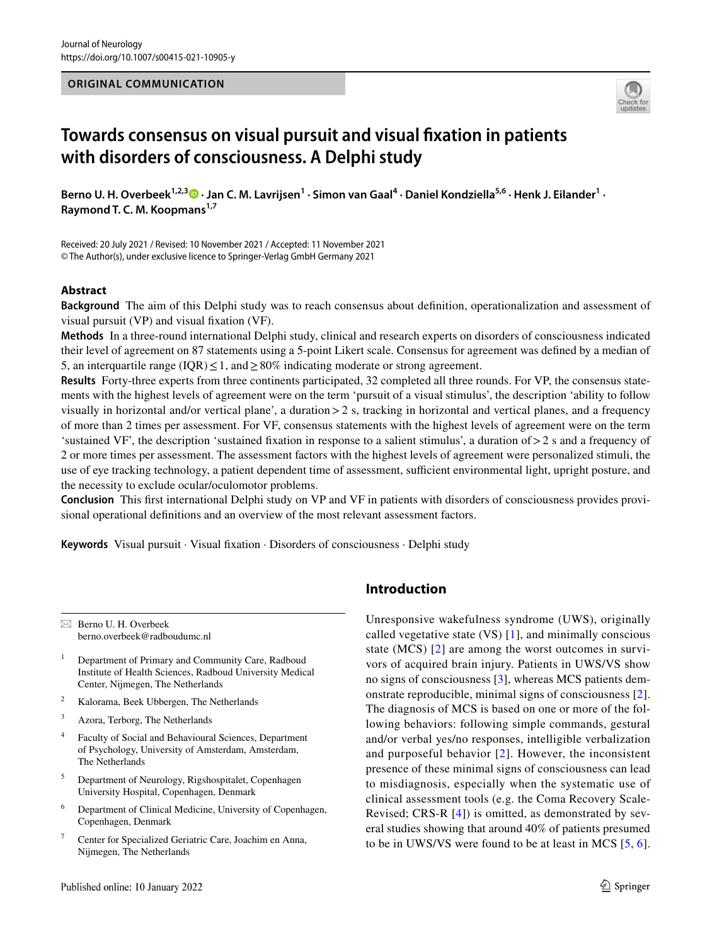# **ORIGINAL COMMUNICATION**



# **Towards consensus on visual pursuit and visual fxation in patients with disorders of consciousness. A Delphi study**

BernoU. H. Overbeek<sup>1,2,3</sup>  $\bullet$  · Jan C. M. Lavrijsen<sup>1</sup> · Simon van Gaal<sup>4</sup> · Daniel Kondziella<sup>5,6</sup> · Henk J. Eilander<sup>1</sup> · **Raymond T. C. M. Koopmans1,7**

Received: 20 July 2021 / Revised: 10 November 2021 / Accepted: 11 November 2021 © The Author(s), under exclusive licence to Springer-Verlag GmbH Germany 2021

# **Abstract**

**Background** The aim of this Delphi study was to reach consensus about defnition, operationalization and assessment of visual pursuit (VP) and visual fxation (VF).

**Methods** In a three-round international Delphi study, clinical and research experts on disorders of consciousness indicated their level of agreement on 87 statements using a 5-point Likert scale. Consensus for agreement was defned by a median of 5, an interquartile range (IQR)  $\leq$  1, and  $\geq$  80% indicating moderate or strong agreement.

**Results** Forty-three experts from three continents participated, 32 completed all three rounds. For VP, the consensus statements with the highest levels of agreement were on the term 'pursuit of a visual stimulus', the description 'ability to follow visually in horizontal and/or vertical plane', a duration  $> 2$  s, tracking in horizontal and vertical planes, and a frequency of more than 2 times per assessment. For VF, consensus statements with the highest levels of agreement were on the term 'sustained VF', the description 'sustained fxation in response to a salient stimulus', a duration of>2 s and a frequency of 2 or more times per assessment. The assessment factors with the highest levels of agreement were personalized stimuli, the use of eye tracking technology, a patient dependent time of assessment, sufficient environmental light, upright posture, and the necessity to exclude ocular/oculomotor problems.

**Conclusion** This frst international Delphi study on VP and VF in patients with disorders of consciousness provides provisional operational defnitions and an overview of the most relevant assessment factors.

**Keywords** Visual pursuit · Visual fxation · Disorders of consciousness · Delphi study

 $\boxtimes$  Berno U. H. Overbeek berno.overbeek@radboudumc.nl

- <sup>1</sup> Department of Primary and Community Care, Radboud Institute of Health Sciences, Radboud University Medical Center, Nijmegen, The Netherlands
- <sup>2</sup> Kalorama, Beek Ubbergen, The Netherlands
- <sup>3</sup> Azora, Terborg, The Netherlands
- <sup>4</sup> Faculty of Social and Behavioural Sciences, Department of Psychology, University of Amsterdam, Amsterdam, The Netherlands
- <sup>5</sup> Department of Neurology, Rigshospitalet, Copenhagen University Hospital, Copenhagen, Denmark
- <sup>6</sup> Department of Clinical Medicine, University of Copenhagen, Copenhagen, Denmark
- <sup>7</sup> Center for Specialized Geriatric Care, Joachim en Anna, Nijmegen, The Netherlands

# **Introduction**

Unresponsive wakefulness syndrome (UWS), originally called vegetative state (VS) [[1\]](#page-10-0), and minimally conscious state (MCS) [[2](#page-10-1)] are among the worst outcomes in survivors of acquired brain injury. Patients in UWS/VS show no signs of consciousness [\[3\]](#page-10-2), whereas MCS patients demonstrate reproducible, minimal signs of consciousness [[2](#page-10-1)]. The diagnosis of MCS is based on one or more of the following behaviors: following simple commands, gestural and/or verbal yes/no responses, intelligible verbalization and purposeful behavior [[2](#page-10-1)]. However, the inconsistent presence of these minimal signs of consciousness can lead to misdiagnosis, especially when the systematic use of clinical assessment tools (e.g. the Coma Recovery Scale-Revised; CRS-R [\[4\]](#page-10-3)) is omitted, as demonstrated by several studies showing that around 40% of patients presumed to be in UWS/VS were found to be at least in MCS [[5,](#page-10-4) [6](#page-10-5)].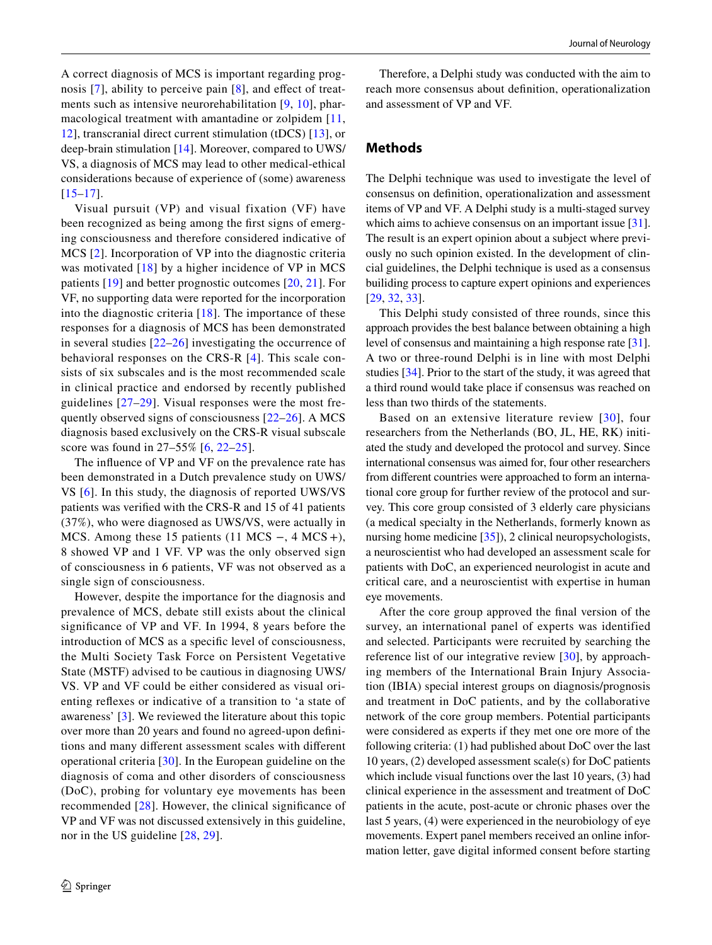A correct diagnosis of MCS is important regarding prog-nosis [[7](#page-10-6)], ability to perceive pain [[8](#page-10-7)], and effect of treatments such as intensive neurorehabilitation [[9,](#page-10-8) [10\]](#page-10-9), pharmacological treatment with amantadine or zolpidem [\[11,](#page-10-10) [12](#page-10-11)], transcranial direct current stimulation (tDCS) [[13](#page-10-12)], or deep-brain stimulation [[14\]](#page-10-13). Moreover, compared to UWS/ VS, a diagnosis of MCS may lead to other medical-ethical considerations because of experience of (some) awareness [[15–](#page-10-14)[17](#page-10-15)].

Visual pursuit (VP) and visual fixation (VF) have been recognized as being among the frst signs of emerging consciousness and therefore considered indicative of MCS [[2\]](#page-10-1). Incorporation of VP into the diagnostic criteria was motivated [[18](#page-10-16)] by a higher incidence of VP in MCS patients [\[19\]](#page-10-17) and better prognostic outcomes [[20,](#page-10-18) [21](#page-10-19)]. For VF, no supporting data were reported for the incorporation into the diagnostic criteria  $[18]$  $[18]$  $[18]$ . The importance of these responses for a diagnosis of MCS has been demonstrated in several studies  $[22-26]$  $[22-26]$  investigating the occurrence of behavioral responses on the CRS-R [[4\]](#page-10-3). This scale consists of six subscales and is the most recommended scale in clinical practice and endorsed by recently published guidelines [[27–](#page-11-1)[29](#page-11-2)]. Visual responses were the most frequently observed signs of consciousness  $[22-26]$  $[22-26]$  $[22-26]$ . A MCS diagnosis based exclusively on the CRS-R visual subscale score was found in 27–55% [[6](#page-10-5), [22–](#page-10-20)[25](#page-11-3)].

The infuence of VP and VF on the prevalence rate has been demonstrated in a Dutch prevalence study on UWS/ VS [\[6\]](#page-10-5). In this study, the diagnosis of reported UWS/VS patients was verifed with the CRS-R and 15 of 41 patients (37%), who were diagnosed as UWS/VS, were actually in MCS. Among these 15 patients (11 MCS –, 4 MCS +), 8 showed VP and 1 VF. VP was the only observed sign of consciousness in 6 patients, VF was not observed as a single sign of consciousness.

However, despite the importance for the diagnosis and prevalence of MCS, debate still exists about the clinical signifcance of VP and VF. In 1994, 8 years before the introduction of MCS as a specifc level of consciousness, the Multi Society Task Force on Persistent Vegetative State (MSTF) advised to be cautious in diagnosing UWS/ VS. VP and VF could be either considered as visual orienting refexes or indicative of a transition to 'a state of awareness' [[3\]](#page-10-2). We reviewed the literature about this topic over more than 20 years and found no agreed-upon defnitions and many diferent assessment scales with diferent operational criteria [[30](#page-11-4)]. In the European guideline on the diagnosis of coma and other disorders of consciousness (DoC), probing for voluntary eye movements has been recommended [[28\]](#page-11-5). However, the clinical signifcance of VP and VF was not discussed extensively in this guideline, nor in the US guideline [\[28,](#page-11-5) [29](#page-11-2)].

Therefore, a Delphi study was conducted with the aim to reach more consensus about defnition, operationalization and assessment of VP and VF.

# **Methods**

The Delphi technique was used to investigate the level of consensus on defnition, operationalization and assessment items of VP and VF. A Delphi study is a multi-staged survey which aims to achieve consensus on an important issue [\[31](#page-11-6)]. The result is an expert opinion about a subject where previously no such opinion existed. In the development of clincial guidelines, the Delphi technique is used as a consensus builiding process to capture expert opinions and experiences [[29,](#page-11-2) [32,](#page-11-7) [33\]](#page-11-8).

This Delphi study consisted of three rounds, since this approach provides the best balance between obtaining a high level of consensus and maintaining a high response rate [[31](#page-11-6)]. A two or three-round Delphi is in line with most Delphi studies [\[34](#page-11-9)]. Prior to the start of the study, it was agreed that a third round would take place if consensus was reached on less than two thirds of the statements.

Based on an extensive literature review [[30\]](#page-11-4), four researchers from the Netherlands (BO, JL, HE, RK) initiated the study and developed the protocol and survey. Since international consensus was aimed for, four other researchers from diferent countries were approached to form an international core group for further review of the protocol and survey. This core group consisted of 3 elderly care physicians (a medical specialty in the Netherlands, formerly known as nursing home medicine [[35\]](#page-11-10)), 2 clinical neuropsychologists, a neuroscientist who had developed an assessment scale for patients with DoC, an experienced neurologist in acute and critical care, and a neuroscientist with expertise in human eye movements.

After the core group approved the fnal version of the survey, an international panel of experts was identified and selected. Participants were recruited by searching the reference list of our integrative review [\[30\]](#page-11-4), by approaching members of the International Brain Injury Association (IBIA) special interest groups on diagnosis/prognosis and treatment in DoC patients, and by the collaborative network of the core group members. Potential participants were considered as experts if they met one ore more of the following criteria: (1) had published about DoC over the last 10 years, (2) developed assessment scale(s) for DoC patients which include visual functions over the last 10 years, (3) had clinical experience in the assessment and treatment of DoC patients in the acute, post-acute or chronic phases over the last 5 years, (4) were experienced in the neurobiology of eye movements. Expert panel members received an online information letter, gave digital informed consent before starting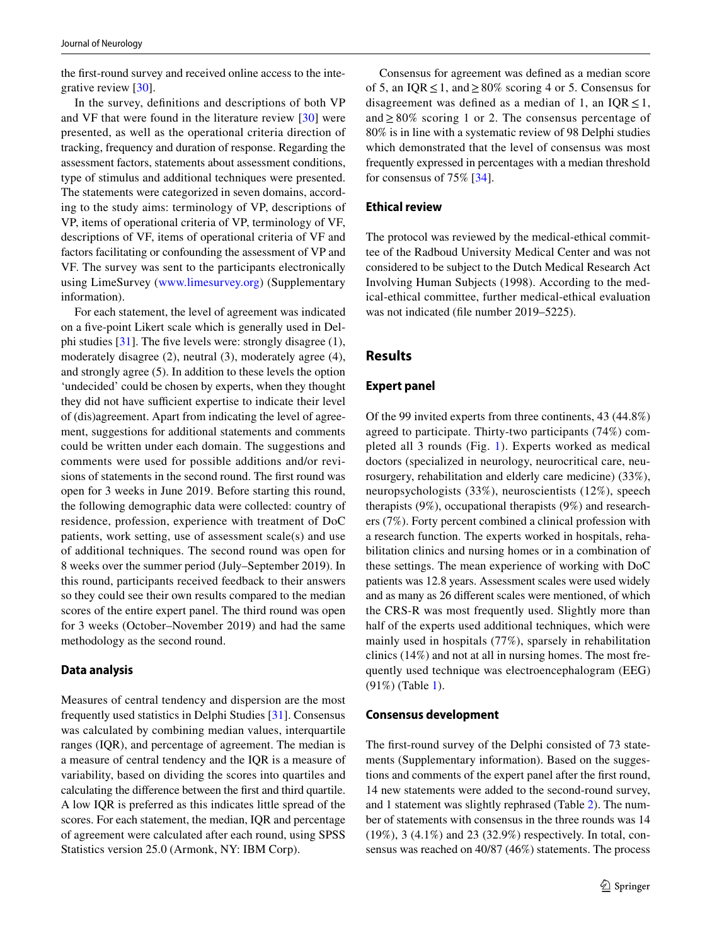the frst-round survey and received online access to the integrative review [\[30](#page-11-4)].

In the survey, defnitions and descriptions of both VP and VF that were found in the literature review [[30](#page-11-4)] were presented, as well as the operational criteria direction of tracking, frequency and duration of response. Regarding the assessment factors, statements about assessment conditions, type of stimulus and additional techniques were presented. The statements were categorized in seven domains, according to the study aims: terminology of VP, descriptions of VP, items of operational criteria of VP, terminology of VF, descriptions of VF, items of operational criteria of VF and factors facilitating or confounding the assessment of VP and VF. The survey was sent to the participants electronically using LimeSurvey ([www.limesurvey.org](http://www.limesurvey.org)) (Supplementary information).

For each statement, the level of agreement was indicated on a fve-point Likert scale which is generally used in Delphi studies  $[31]$  $[31]$  $[31]$ . The five levels were: strongly disagree  $(1)$ , moderately disagree (2), neutral (3), moderately agree (4), and strongly agree (5). In addition to these levels the option 'undecided' could be chosen by experts, when they thought they did not have sufficient expertise to indicate their level of (dis)agreement. Apart from indicating the level of agreement, suggestions for additional statements and comments could be written under each domain. The suggestions and comments were used for possible additions and/or revisions of statements in the second round. The frst round was open for 3 weeks in June 2019. Before starting this round, the following demographic data were collected: country of residence, profession, experience with treatment of DoC patients, work setting, use of assessment scale(s) and use of additional techniques. The second round was open for 8 weeks over the summer period (July–September 2019). In this round, participants received feedback to their answers so they could see their own results compared to the median scores of the entire expert panel. The third round was open for 3 weeks (October–November 2019) and had the same methodology as the second round.

### **Data analysis**

Measures of central tendency and dispersion are the most frequently used statistics in Delphi Studies [[31\]](#page-11-6). Consensus was calculated by combining median values, interquartile ranges (IQR), and percentage of agreement. The median is a measure of central tendency and the IQR is a measure of variability, based on dividing the scores into quartiles and calculating the diference between the frst and third quartile. A low IQR is preferred as this indicates little spread of the scores. For each statement, the median, IQR and percentage of agreement were calculated after each round, using SPSS Statistics version 25.0 (Armonk, NY: IBM Corp).

Consensus for agreement was defned as a median score of 5, an IQR  $\leq$  1, and  $\geq$  80% scoring 4 or 5. Consensus for disagreement was defined as a median of 1, an  $IQR \leq 1$ , and≥ 80% scoring 1 or 2. The consensus percentage of 80% is in line with a systematic review of 98 Delphi studies which demonstrated that the level of consensus was most frequently expressed in percentages with a median threshold for consensus of 75% [[34\]](#page-11-9).

# **Ethical review**

The protocol was reviewed by the medical-ethical committee of the Radboud University Medical Center and was not considered to be subject to the Dutch Medical Research Act Involving Human Subjects (1998). According to the medical-ethical committee, further medical-ethical evaluation was not indicated (fle number 2019–5225).

# **Results**

#### **Expert panel**

Of the 99 invited experts from three continents, 43 (44.8%) agreed to participate. Thirty-two participants (74%) completed all 3 rounds (Fig. [1](#page-3-0)). Experts worked as medical doctors (specialized in neurology, neurocritical care, neurosurgery, rehabilitation and elderly care medicine) (33%), neuropsychologists (33%), neuroscientists (12%), speech therapists (9%), occupational therapists (9%) and researchers (7%). Forty percent combined a clinical profession with a research function. The experts worked in hospitals, rehabilitation clinics and nursing homes or in a combination of these settings. The mean experience of working with DoC patients was 12.8 years. Assessment scales were used widely and as many as 26 diferent scales were mentioned, of which the CRS-R was most frequently used. Slightly more than half of the experts used additional techniques, which were mainly used in hospitals (77%), sparsely in rehabilitation clinics (14%) and not at all in nursing homes. The most frequently used technique was electroencephalogram (EEG) (91%) (Table [1](#page-4-0)).

#### **Consensus development**

The frst-round survey of the Delphi consisted of 73 statements (Supplementary information). Based on the suggestions and comments of the expert panel after the frst round, 14 new statements were added to the second-round survey, and 1 statement was slightly rephrased (Table [2\)](#page-5-0). The number of statements with consensus in the three rounds was 14 (19%), 3 (4.1%) and 23 (32.9%) respectively. In total, consensus was reached on 40/87 (46%) statements. The process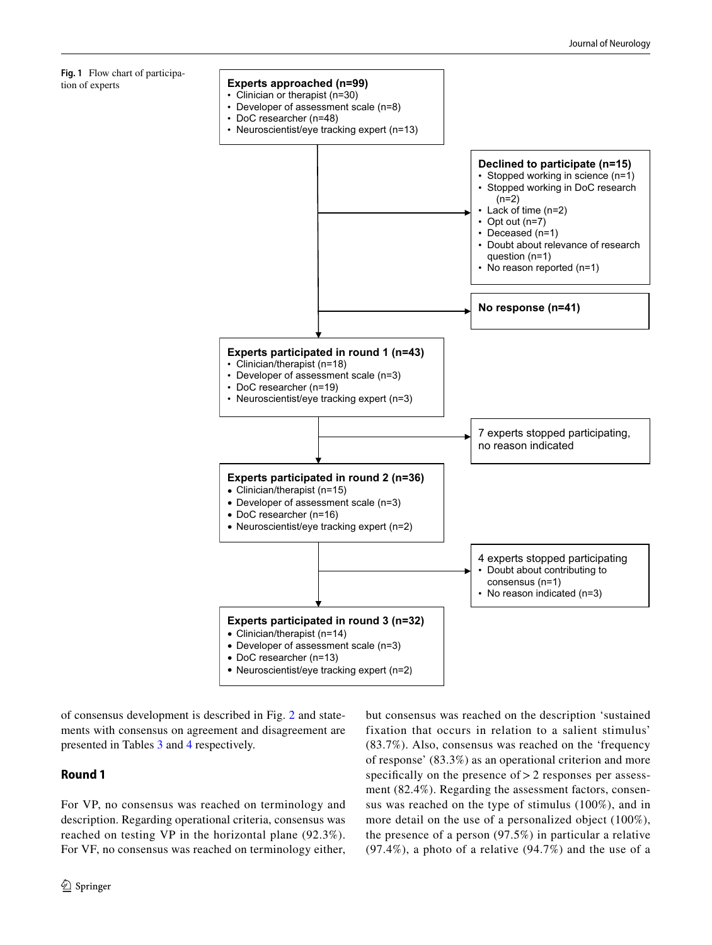

of consensus development is described in Fig. [2](#page-6-0) and statements with consensus on agreement and disagreement are presented in Tables [3](#page-7-0) and [4](#page-8-0) respectively.

# **Round 1**

<span id="page-3-0"></span>tion of experts

For VP, no consensus was reached on terminology and description. Regarding operational criteria, consensus was reached on testing VP in the horizontal plane (92.3%). For VF, no consensus was reached on terminology either,

<sup>2</sup> Springer

but consensus was reached on the description 'sustained fixation that occurs in relation to a salient stimulus' (83.7%). Also, consensus was reached on the 'frequency of response' (83.3%) as an operational criterion and more specifically on the presence of > 2 responses per assessment (82.4%). Regarding the assessment factors, consensus was reached on the type of stimulus (100%), and in more detail on the use of a personalized object (100%), the presence of a person (97.5%) in particular a relative (97.4%), a photo of a relative (94.7%) and the use of a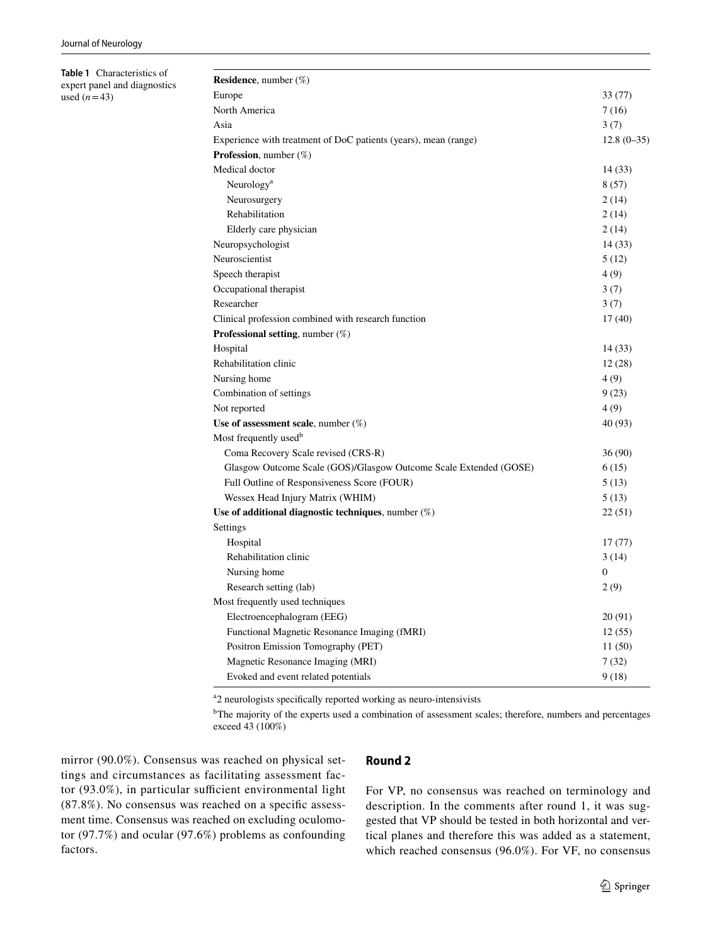<span id="page-4-0"></span>**Table 1** Characteristics of expert panel and diagnostics used  $(n=43)$ 

| <b>Residence</b> , number $(\%)$                                  |              |
|-------------------------------------------------------------------|--------------|
| Europe                                                            | 33 (77)      |
| North America                                                     | 7(16)        |
| Asia                                                              | 3(7)         |
| Experience with treatment of DoC patients (years), mean (range)   | $12.8(0-35)$ |
| <b>Profession</b> , number $(\%)$                                 |              |
| Medical doctor                                                    | 14 (33)      |
| Neurology <sup>a</sup>                                            | 8(57)        |
| Neurosurgery                                                      | 2(14)        |
| Rehabilitation                                                    | 2 (14)       |
| Elderly care physician                                            | 2(14)        |
| Neuropsychologist                                                 | 14(33)       |
| Neuroscientist                                                    | 5(12)        |
| Speech therapist                                                  | 4 (9)        |
| Occupational therapist                                            | 3(7)         |
| Researcher                                                        | 3(7)         |
| Clinical profession combined with research function               | 17(40)       |
| <b>Professional setting</b> , number (%)                          |              |
| Hospital                                                          | 14 (33)      |
| Rehabilitation clinic                                             | 12(28)       |
| Nursing home                                                      | 4 (9)        |
| Combination of settings                                           | 9(23)        |
| Not reported                                                      | 4 (9)        |
| Use of assessment scale, number $(\%)$                            | 40 (93)      |
| Most frequently used <sup>b</sup>                                 |              |
| Coma Recovery Scale revised (CRS-R)                               | 36 (90)      |
| Glasgow Outcome Scale (GOS)/Glasgow Outcome Scale Extended (GOSE) | 6(15)        |
| Full Outline of Responsiveness Score (FOUR)                       | 5(13)        |
| Wessex Head Injury Matrix (WHIM)                                  | 5(13)        |
| Use of additional diagnostic techniques, number $(\%)$            | 22(51)       |
| Settings                                                          |              |
| Hospital                                                          | 17(77)       |
| Rehabilitation clinic                                             | 3(14)        |
| Nursing home                                                      | $\Omega$     |
| Research setting (lab)                                            | 2(9)         |
| Most frequently used techniques                                   |              |
| Electroencephalogram (EEG)                                        | 20(91)       |
| Functional Magnetic Resonance Imaging (fMRI)                      | 12(55)       |
| Positron Emission Tomography (PET)                                | 11(50)       |
| Magnetic Resonance Imaging (MRI)                                  | 7(32)        |
| Evoked and event related potentials                               | 9 (18)       |

<sup>a</sup>2 neurologists specifically reported working as neuro-intensivists

<sup>b</sup>The majority of the experts used a combination of assessment scales; therefore, numbers and percentages exceed 43 (100%)

mirror (90.0%). Consensus was reached on physical settings and circumstances as facilitating assessment factor  $(93.0\%)$ , in particular sufficient environmental light (87.8%). No consensus was reached on a specifc assessment time. Consensus was reached on excluding oculomotor (97.7%) and ocular (97.6%) problems as confounding factors.

### **Round 2**

For VP, no consensus was reached on terminology and description. In the comments after round 1, it was suggested that VP should be tested in both horizontal and vertical planes and therefore this was added as a statement, which reached consensus (96.0%). For VF, no consensus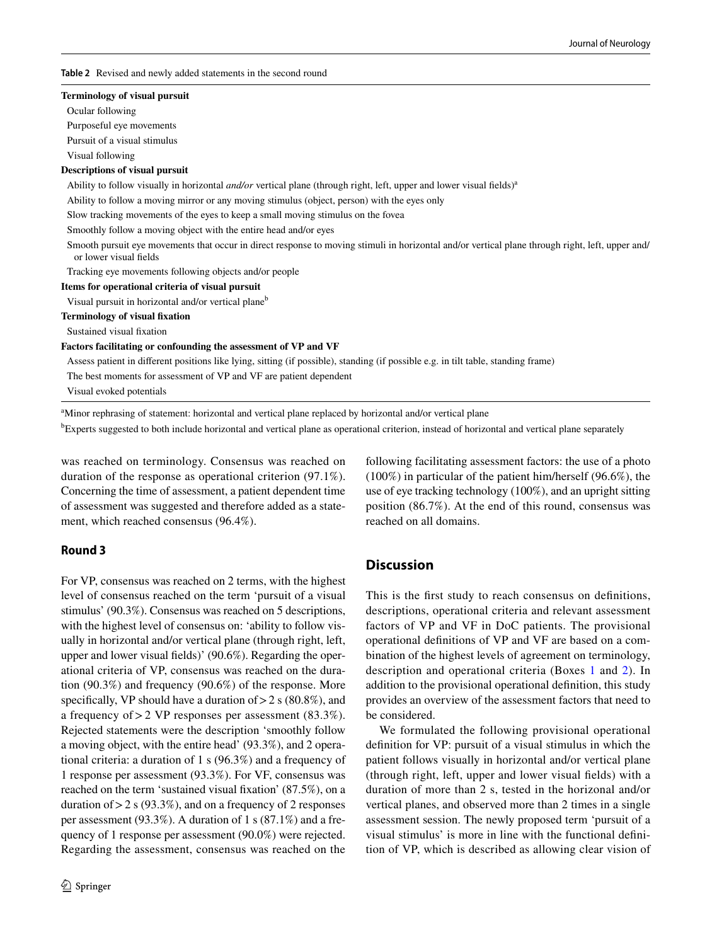<span id="page-5-0"></span>**Table 2** Revised and newly added statements in the second round

#### **Terminology of visual pursuit**

Ocular following

Purposeful eye movements

Pursuit of a visual stimulus

Visual following

#### **Descriptions of visual pursuit**

Ability to follow visually in horizontal *and/or* vertical plane (through right, left, upper and lower visual fields)<sup>a</sup>

Ability to follow a moving mirror or any moving stimulus (object, person) with the eyes only

Slow tracking movements of the eyes to keep a small moving stimulus on the fovea

Smoothly follow a moving object with the entire head and/or eyes

 Smooth pursuit eye movements that occur in direct response to moving stimuli in horizontal and/or vertical plane through right, left, upper and/ or lower visual felds

Tracking eye movements following objects and/or people

#### **Items for operational criteria of visual pursuit**

Visual pursuit in horizontal and/or vertical planeb

**Terminology of visual fxation**

Sustained visual fxation

**Factors facilitating or confounding the assessment of VP and VF**

Assess patient in diferent positions like lying, sitting (if possible), standing (if possible e.g. in tilt table, standing frame)

The best moments for assessment of VP and VF are patient dependent

Visual evoked potentials

<sup>a</sup>Minor rephrasing of statement: horizontal and vertical plane replaced by horizontal and/or vertical plane

<sup>b</sup>Experts suggested to both include horizontal and vertical plane as operational criterion, instead of horizontal and vertical plane separately

was reached on terminology. Consensus was reached on duration of the response as operational criterion (97.1%). Concerning the time of assessment, a patient dependent time of assessment was suggested and therefore added as a statement, which reached consensus (96.4%).

# **Round 3**

For VP, consensus was reached on 2 terms, with the highest level of consensus reached on the term 'pursuit of a visual stimulus' (90.3%). Consensus was reached on 5 descriptions, with the highest level of consensus on: 'ability to follow visually in horizontal and/or vertical plane (through right, left, upper and lower visual felds)' (90.6%). Regarding the operational criteria of VP, consensus was reached on the duration (90.3%) and frequency (90.6%) of the response. More specifically, VP should have a duration of  $> 2$  s (80.8%), and a frequency of>2 VP responses per assessment (83.3%). Rejected statements were the description 'smoothly follow a moving object, with the entire head' (93.3%), and 2 operational criteria: a duration of 1 s (96.3%) and a frequency of 1 response per assessment (93.3%). For VF, consensus was reached on the term 'sustained visual fxation' (87.5%), on a duration of  $> 2$  s (93.3%), and on a frequency of 2 responses per assessment (93.3%). A duration of 1 s (87.1%) and a frequency of 1 response per assessment (90.0%) were rejected. Regarding the assessment, consensus was reached on the following facilitating assessment factors: the use of a photo (100%) in particular of the patient him/herself (96.6%), the use of eye tracking technology (100%), and an upright sitting position (86.7%). At the end of this round, consensus was reached on all domains.

# **Discussion**

This is the frst study to reach consensus on defnitions, descriptions, operational criteria and relevant assessment factors of VP and VF in DoC patients. The provisional operational defnitions of VP and VF are based on a combination of the highest levels of agreement on terminology, description and operational criteria (Boxes [1](#page-8-1) and [2\)](#page-8-2). In addition to the provisional operational defnition, this study provides an overview of the assessment factors that need to be considered.

We formulated the following provisional operational defnition for VP: pursuit of a visual stimulus in which the patient follows visually in horizontal and/or vertical plane (through right, left, upper and lower visual felds) with a duration of more than 2 s, tested in the horizonal and/or vertical planes, and observed more than 2 times in a single assessment session. The newly proposed term 'pursuit of a visual stimulus' is more in line with the functional defnition of VP, which is described as allowing clear vision of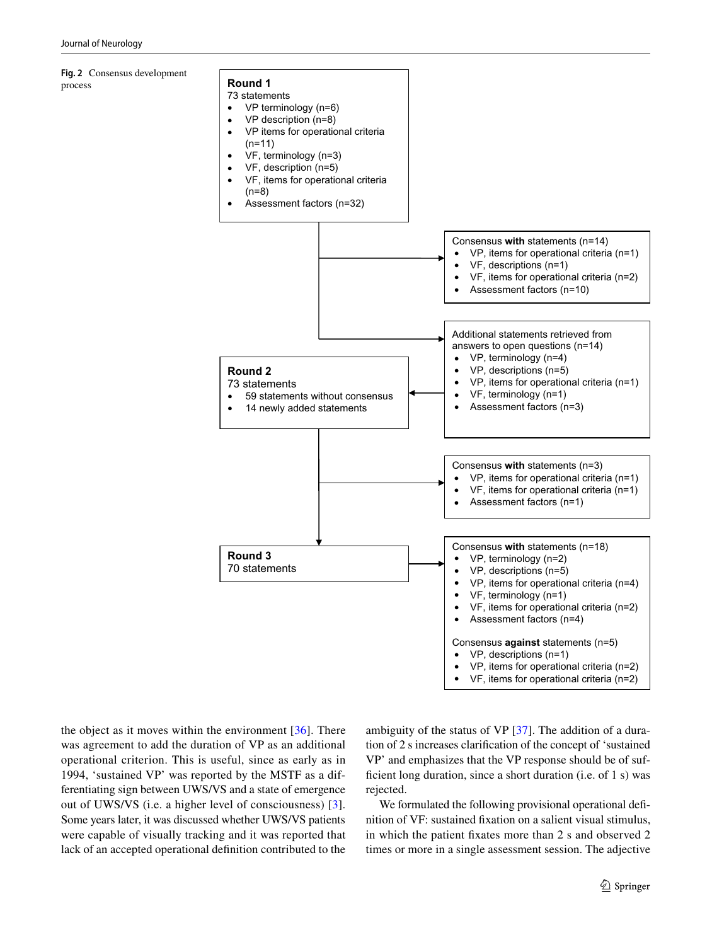<span id="page-6-0"></span>**Fig. 2** Consensus development process

# **Round 1**

- 73 statements VP terminology (n=6) •
- VP description (n=8) •
- VP items for operational criteria (n=11) •
- VF, terminology (n=3) •
- VF, description (n=5) •
- VF, items for operational criteria (n=8) •



the object as it moves within the environment  $[36]$  $[36]$ . There was agreement to add the duration of VP as an additional operational criterion. This is useful, since as early as in 1994, 'sustained VP' was reported by the MSTF as a differentiating sign between UWS/VS and a state of emergence out of UWS/VS (i.e. a higher level of consciousness) [[3](#page-10-2)]. Some years later, it was discussed whether UWS/VS patients were capable of visually tracking and it was reported that lack of an accepted operational defnition contributed to the

ambiguity of the status of VP [[37\]](#page-11-12). The addition of a duration of 2 s increases clarifcation of the concept of 'sustained VP' and emphasizes that the VP response should be of sufficient long duration, since a short duration (i.e. of 1 s) was rejected.

We formulated the following provisional operational definition of VF: sustained fxation on a salient visual stimulus, in which the patient fxates more than 2 s and observed 2 times or more in a single assessment session. The adjective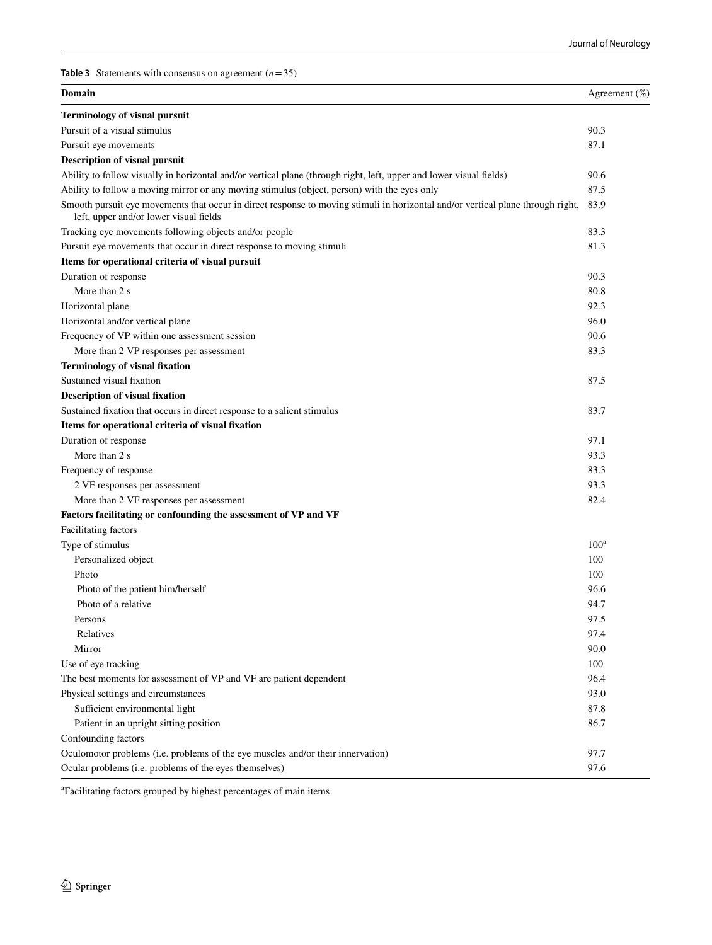<span id="page-7-0"></span>**Table 3** Statements with consensus on agreement  $(n=35)$ 

| Domain                                                                                                                                                                    | Agreement $(\% )$ |
|---------------------------------------------------------------------------------------------------------------------------------------------------------------------------|-------------------|
| <b>Terminology of visual pursuit</b>                                                                                                                                      |                   |
| Pursuit of a visual stimulus                                                                                                                                              | 90.3              |
| Pursuit eye movements                                                                                                                                                     | 87.1              |
| <b>Description of visual pursuit</b>                                                                                                                                      |                   |
| Ability to follow visually in horizontal and/or vertical plane (through right, left, upper and lower visual fields)                                                       | 90.6              |
| Ability to follow a moving mirror or any moving stimulus (object, person) with the eyes only                                                                              | 87.5              |
| Smooth pursuit eye movements that occur in direct response to moving stimuli in horizontal and/or vertical plane through right,<br>left, upper and/or lower visual fields | 83.9              |
| Tracking eye movements following objects and/or people                                                                                                                    | 83.3              |
| Pursuit eye movements that occur in direct response to moving stimuli                                                                                                     | 81.3              |
| Items for operational criteria of visual pursuit                                                                                                                          |                   |
| Duration of response                                                                                                                                                      | 90.3              |
| More than 2 s                                                                                                                                                             | 80.8              |
| Horizontal plane                                                                                                                                                          | 92.3              |
| Horizontal and/or vertical plane                                                                                                                                          | 96.0              |
| Frequency of VP within one assessment session                                                                                                                             | 90.6              |
| More than 2 VP responses per assessment                                                                                                                                   | 83.3              |
| <b>Terminology of visual fixation</b>                                                                                                                                     |                   |
| Sustained visual fixation                                                                                                                                                 | 87.5              |
| <b>Description of visual fixation</b>                                                                                                                                     |                   |
| Sustained fixation that occurs in direct response to a salient stimulus                                                                                                   | 83.7              |
| Items for operational criteria of visual fixation                                                                                                                         |                   |
| Duration of response                                                                                                                                                      | 97.1              |
| More than 2 s                                                                                                                                                             | 93.3              |
| Frequency of response                                                                                                                                                     | 83.3              |
| 2 VF responses per assessment                                                                                                                                             | 93.3              |
| More than 2 VF responses per assessment                                                                                                                                   | 82.4              |
| Factors facilitating or confounding the assessment of VP and VF                                                                                                           |                   |
| Facilitating factors                                                                                                                                                      |                   |
| Type of stimulus                                                                                                                                                          | $100^a$           |
| Personalized object                                                                                                                                                       | 100               |
| Photo                                                                                                                                                                     | 100               |
| Photo of the patient him/herself                                                                                                                                          | 96.6              |
| Photo of a relative                                                                                                                                                       | 94.7              |
| Persons                                                                                                                                                                   | 97.5              |
| Relatives                                                                                                                                                                 | 97.4              |
| Mirror                                                                                                                                                                    | 90.0              |
| Use of eye tracking                                                                                                                                                       | 100               |
| The best moments for assessment of VP and VF are patient dependent                                                                                                        | 96.4              |
| Physical settings and circumstances                                                                                                                                       | 93.0              |
| Sufficient environmental light                                                                                                                                            | 87.8              |
| Patient in an upright sitting position                                                                                                                                    | 86.7              |
| Confounding factors                                                                                                                                                       |                   |
| Oculomotor problems (i.e. problems of the eye muscles and/or their innervation)                                                                                           | 97.7              |
| Ocular problems (i.e. problems of the eyes themselves)                                                                                                                    | 97.6              |

a Facilitating factors grouped by highest percentages of main items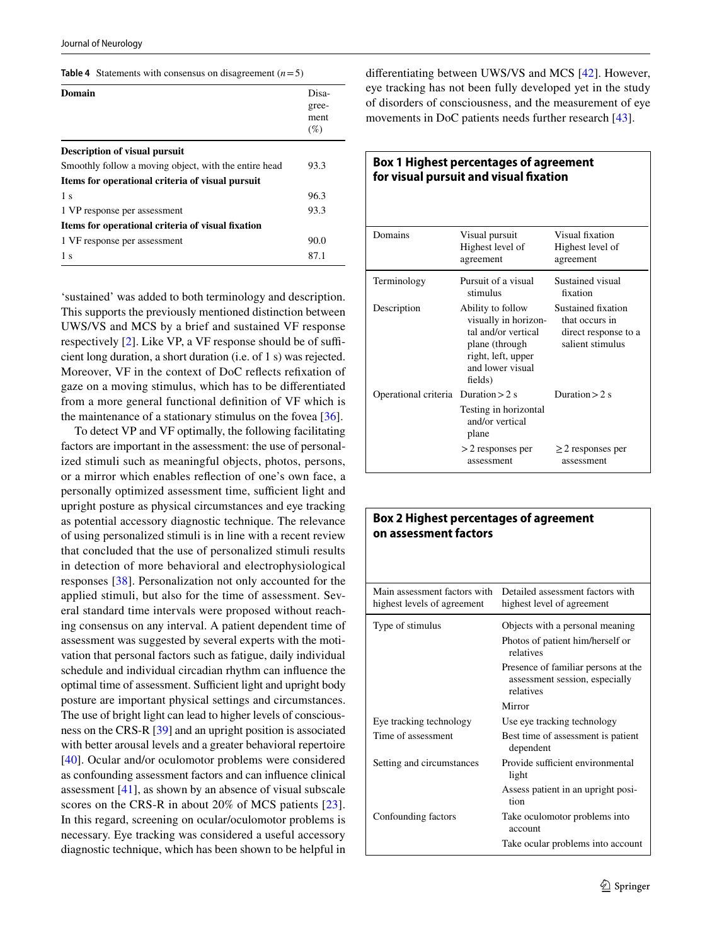<span id="page-8-0"></span>

| Table 4 Statements with consensus on disagreement $(n=5)$ |  |  |  |  |
|-----------------------------------------------------------|--|--|--|--|
|-----------------------------------------------------------|--|--|--|--|

| Domain                                                | Disa-<br>gree-<br>ment |
|-------------------------------------------------------|------------------------|
|                                                       | $(\%)$                 |
| <b>Description of visual pursuit</b>                  |                        |
| Smoothly follow a moving object, with the entire head | 93.3                   |
| Items for operational criteria of visual pursuit      |                        |
| 1 <sub>s</sub>                                        | 96.3                   |
| 1 VP response per assessment                          | 93.3                   |
| Items for operational criteria of visual fixation     |                        |
| 1 VF response per assessment                          | 90.0                   |
| 1 <sub>s</sub>                                        | 87.1                   |

'sustained' was added to both terminology and description. This supports the previously mentioned distinction between UWS/VS and MCS by a brief and sustained VF response respectively  $[2]$  $[2]$ . Like VP, a VF response should be of sufficient long duration, a short duration (i.e. of 1 s) was rejected. Moreover, VF in the context of DoC refects refxation of gaze on a moving stimulus, which has to be diferentiated from a more general functional defnition of VF which is the maintenance of a stationary stimulus on the fovea [\[36](#page-11-11)].

To detect VP and VF optimally, the following facilitating factors are important in the assessment: the use of personalized stimuli such as meaningful objects, photos, persons, or a mirror which enables refection of one's own face, a personally optimized assessment time, sufficient light and upright posture as physical circumstances and eye tracking as potential accessory diagnostic technique. The relevance of using personalized stimuli is in line with a recent review that concluded that the use of personalized stimuli results in detection of more behavioral and electrophysiological responses [[38](#page-11-13)]. Personalization not only accounted for the applied stimuli, but also for the time of assessment. Several standard time intervals were proposed without reaching consensus on any interval. A patient dependent time of assessment was suggested by several experts with the motivation that personal factors such as fatigue, daily individual schedule and individual circadian rhythm can infuence the optimal time of assessment. Sufficient light and upright body posture are important physical settings and circumstances. The use of bright light can lead to higher levels of consciousness on the CRS-R [\[39\]](#page-11-14) and an upright position is associated with better arousal levels and a greater behavioral repertoire [\[40\]](#page-11-15). Ocular and/or oculomotor problems were considered as confounding assessment factors and can infuence clinical assessment  $[41]$  $[41]$ , as shown by an absence of visual subscale scores on the CRS-R in about 20% of MCS patients [[23](#page-10-21)]. In this regard, screening on ocular/oculomotor problems is necessary. Eye tracking was considered a useful accessory diagnostic technique, which has been shown to be helpful in diferentiating between UWS/VS and MCS [\[42](#page-11-17)]. However, eye tracking has not been fully developed yet in the study of disorders of consciousness, and the measurement of eye movements in DoC patients needs further research [\[43\]](#page-11-18).

<span id="page-8-1"></span>

| Box 1 Highest percentages of agreement<br>for visual pursuit and visual fixation |                                                                                                                                         |                                                                                  |
|----------------------------------------------------------------------------------|-----------------------------------------------------------------------------------------------------------------------------------------|----------------------------------------------------------------------------------|
| Domains                                                                          | Visual pursuit<br>Highest level of<br>agreement                                                                                         | Visual fixation<br>Highest level of<br>agreement                                 |
| Terminology                                                                      | Pursuit of a visual<br>stimulus                                                                                                         | Sustained visual<br>fixation                                                     |
| Description                                                                      | Ability to follow<br>visually in horizon-<br>tal and/or vertical<br>plane (through<br>right, left, upper<br>and lower visual<br>fields) | Sustained fixation<br>that occurs in<br>direct response to a<br>salient stimulus |
| Operational criteria Duration > 2 s                                              | Testing in horizontal<br>and/or vertical<br>plane                                                                                       | Duration $> 2$ s                                                                 |
|                                                                                  | $>$ 2 responses per<br>assessment                                                                                                       | $\geq$ 2 responses per<br>assessment                                             |

<span id="page-8-2"></span>

| <b>Box 2 Highest percentages of agreement</b><br>on assessment factors |                                                                                    |
|------------------------------------------------------------------------|------------------------------------------------------------------------------------|
| Main assessment factors with<br>highest levels of agreement            | Detailed assessment factors with<br>highest level of agreement                     |
| Type of stimulus                                                       | Objects with a personal meaning<br>Photos of patient him/herself or<br>relatives   |
|                                                                        | Presence of familiar persons at the<br>assessment session, especially<br>relatives |
|                                                                        | Mirror                                                                             |
| Eye tracking technology                                                | Use eye tracking technology                                                        |
| Time of assessment                                                     | Best time of assessment is patient<br>dependent                                    |
| Setting and circumstances                                              | Provide sufficient environmental<br>light                                          |
|                                                                        | Assess patient in an upright posi-<br>tion                                         |
| Confounding factors                                                    | Take oculomotor problems into<br>account                                           |
|                                                                        | Take ocular problems into account                                                  |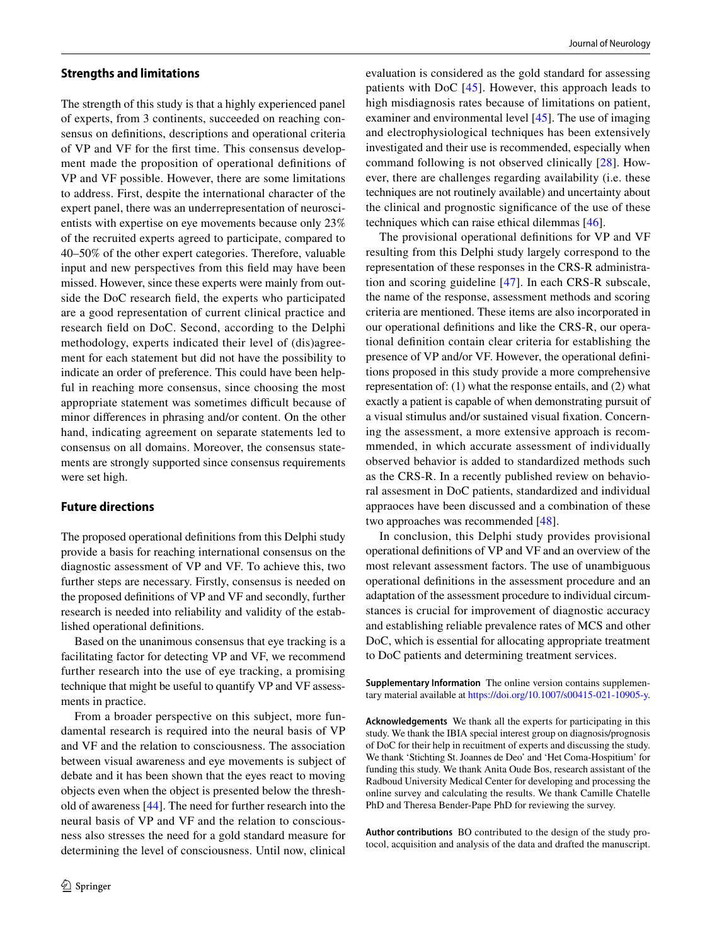#### **Strengths and limitations**

The strength of this study is that a highly experienced panel of experts, from 3 continents, succeeded on reaching consensus on defnitions, descriptions and operational criteria of VP and VF for the frst time. This consensus development made the proposition of operational defnitions of VP and VF possible. However, there are some limitations to address. First, despite the international character of the expert panel, there was an underrepresentation of neuroscientists with expertise on eye movements because only 23% of the recruited experts agreed to participate, compared to 40–50% of the other expert categories. Therefore, valuable input and new perspectives from this feld may have been missed. However, since these experts were mainly from outside the DoC research feld, the experts who participated are a good representation of current clinical practice and research feld on DoC. Second, according to the Delphi methodology, experts indicated their level of (dis)agreement for each statement but did not have the possibility to indicate an order of preference. This could have been helpful in reaching more consensus, since choosing the most appropriate statement was sometimes difficult because of minor diferences in phrasing and/or content. On the other hand, indicating agreement on separate statements led to consensus on all domains. Moreover, the consensus statements are strongly supported since consensus requirements were set high.

# **Future directions**

The proposed operational defnitions from this Delphi study provide a basis for reaching international consensus on the diagnostic assessment of VP and VF. To achieve this, two further steps are necessary. Firstly, consensus is needed on the proposed defnitions of VP and VF and secondly, further research is needed into reliability and validity of the established operational defnitions.

Based on the unanimous consensus that eye tracking is a facilitating factor for detecting VP and VF, we recommend further research into the use of eye tracking, a promising technique that might be useful to quantify VP and VF assessments in practice.

From a broader perspective on this subject, more fundamental research is required into the neural basis of VP and VF and the relation to consciousness. The association between visual awareness and eye movements is subject of debate and it has been shown that the eyes react to moving objects even when the object is presented below the threshold of awareness [[44\]](#page-11-19). The need for further research into the neural basis of VP and VF and the relation to consciousness also stresses the need for a gold standard measure for determining the level of consciousness. Until now, clinical evaluation is considered as the gold standard for assessing patients with DoC [[45](#page-11-20)]. However, this approach leads to high misdiagnosis rates because of limitations on patient, examiner and environmental level [\[45](#page-11-20)]. The use of imaging and electrophysiological techniques has been extensively investigated and their use is recommended, especially when command following is not observed clinically [\[28\]](#page-11-5). However, there are challenges regarding availability (i.e. these techniques are not routinely available) and uncertainty about the clinical and prognostic signifcance of the use of these techniques which can raise ethical dilemmas [[46](#page-11-21)].

The provisional operational defnitions for VP and VF resulting from this Delphi study largely correspond to the representation of these responses in the CRS-R administration and scoring guideline [[47\]](#page-11-22). In each CRS-R subscale, the name of the response, assessment methods and scoring criteria are mentioned. These items are also incorporated in our operational defnitions and like the CRS-R, our operational defnition contain clear criteria for establishing the presence of VP and/or VF. However, the operational defnitions proposed in this study provide a more comprehensive representation of: (1) what the response entails, and (2) what exactly a patient is capable of when demonstrating pursuit of a visual stimulus and/or sustained visual fxation. Concerning the assessment, a more extensive approach is recommmended, in which accurate assessment of individually observed behavior is added to standardized methods such as the CRS-R. In a recently published review on behavioral assesment in DoC patients, standardized and individual appraoces have been discussed and a combination of these two approaches was recommended [[48](#page-11-23)].

In conclusion, this Delphi study provides provisional operational defnitions of VP and VF and an overview of the most relevant assessment factors. The use of unambiguous operational defnitions in the assessment procedure and an adaptation of the assessment procedure to individual circumstances is crucial for improvement of diagnostic accuracy and establishing reliable prevalence rates of MCS and other DoC, which is essential for allocating appropriate treatment to DoC patients and determining treatment services.

**Supplementary Information** The online version contains supplementary material available at <https://doi.org/10.1007/s00415-021-10905-y>.

**Acknowledgements** We thank all the experts for participating in this study. We thank the IBIA special interest group on diagnosis/prognosis of DoC for their help in recuitment of experts and discussing the study. We thank 'Stichting St. Joannes de Deo' and 'Het Coma-Hospitium' for funding this study. We thank Anita Oude Bos, research assistant of the Radboud University Medical Center for developing and processing the online survey and calculating the results. We thank Camille Chatelle PhD and Theresa Bender-Pape PhD for reviewing the survey.

**Author contributions** BO contributed to the design of the study protocol, acquisition and analysis of the data and drafted the manuscript.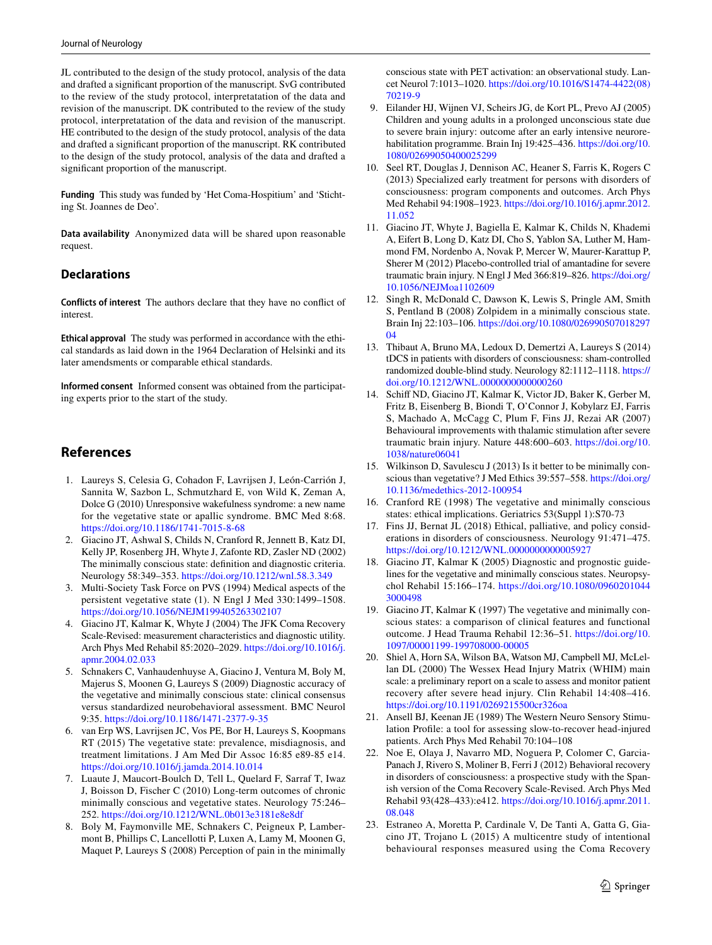JL contributed to the design of the study protocol, analysis of the data and drafted a signifcant proportion of the manuscript. SvG contributed to the review of the study protocol, interpretatation of the data and revision of the manuscript. DK contributed to the review of the study protocol, interpretatation of the data and revision of the manuscript. HE contributed to the design of the study protocol, analysis of the data and drafted a signifcant proportion of the manuscript. RK contributed to the design of the study protocol, analysis of the data and drafted a signifcant proportion of the manuscript.

**Funding** This study was funded by 'Het Coma-Hospitium' and 'Stichting St. Joannes de Deo'.

**Data availability** Anonymized data will be shared upon reasonable request.

# **Declarations**

**Conflicts of interest** The authors declare that they have no confict of interest.

**Ethical approval** The study was performed in accordance with the ethical standards as laid down in the 1964 Declaration of Helsinki and its later amendsments or comparable ethical standards.

**Informed consent** Informed consent was obtained from the participating experts prior to the start of the study.

# **References**

- <span id="page-10-0"></span>1. Laureys S, Celesia G, Cohadon F, Lavrijsen J, León-Carrión J, Sannita W, Sazbon L, Schmutzhard E, von Wild K, Zeman A, Dolce G (2010) Unresponsive wakefulness syndrome: a new name for the vegetative state or apallic syndrome. BMC Med 8:68. <https://doi.org/10.1186/1741-7015-8-68>
- <span id="page-10-1"></span>2. Giacino JT, Ashwal S, Childs N, Cranford R, Jennett B, Katz DI, Kelly JP, Rosenberg JH, Whyte J, Zafonte RD, Zasler ND (2002) The minimally conscious state: defnition and diagnostic criteria. Neurology 58:349–353.<https://doi.org/10.1212/wnl.58.3.349>
- <span id="page-10-2"></span>3. Multi-Society Task Force on PVS (1994) Medical aspects of the persistent vegetative state (1). N Engl J Med 330:1499–1508. <https://doi.org/10.1056/NEJM199405263302107>
- <span id="page-10-3"></span>4. Giacino JT, Kalmar K, Whyte J (2004) The JFK Coma Recovery Scale-Revised: measurement characteristics and diagnostic utility. Arch Phys Med Rehabil 85:2020–2029. [https://doi.org/10.1016/j.](https://doi.org/10.1016/j.apmr.2004.02.033) [apmr.2004.02.033](https://doi.org/10.1016/j.apmr.2004.02.033)
- <span id="page-10-4"></span>5. Schnakers C, Vanhaudenhuyse A, Giacino J, Ventura M, Boly M, Majerus S, Moonen G, Laureys S (2009) Diagnostic accuracy of the vegetative and minimally conscious state: clinical consensus versus standardized neurobehavioral assessment. BMC Neurol 9:35. <https://doi.org/10.1186/1471-2377-9-35>
- <span id="page-10-5"></span>6. van Erp WS, Lavrijsen JC, Vos PE, Bor H, Laureys S, Koopmans RT (2015) The vegetative state: prevalence, misdiagnosis, and treatment limitations. J Am Med Dir Assoc 16:85 e89-85 e14. <https://doi.org/10.1016/j.jamda.2014.10.014>
- <span id="page-10-6"></span>7. Luaute J, Maucort-Boulch D, Tell L, Quelard F, Sarraf T, Iwaz J, Boisson D, Fischer C (2010) Long-term outcomes of chronic minimally conscious and vegetative states. Neurology 75:246– 252.<https://doi.org/10.1212/WNL.0b013e3181e8e8df>
- <span id="page-10-7"></span>8. Boly M, Faymonville ME, Schnakers C, Peigneux P, Lambermont B, Phillips C, Lancellotti P, Luxen A, Lamy M, Moonen G, Maquet P, Laureys S (2008) Perception of pain in the minimally

conscious state with PET activation: an observational study. Lancet Neurol 7:1013–1020. [https://doi.org/10.1016/S1474-4422\(08\)](https://doi.org/10.1016/S1474-4422(08)70219-9) [70219-9](https://doi.org/10.1016/S1474-4422(08)70219-9)

- <span id="page-10-8"></span>9. Eilander HJ, Wijnen VJ, Scheirs JG, de Kort PL, Prevo AJ (2005) Children and young adults in a prolonged unconscious state due to severe brain injury: outcome after an early intensive neurorehabilitation programme. Brain Inj 19:425–436. [https://doi.org/10.](https://doi.org/10.1080/02699050400025299) [1080/02699050400025299](https://doi.org/10.1080/02699050400025299)
- <span id="page-10-9"></span>10. Seel RT, Douglas J, Dennison AC, Heaner S, Farris K, Rogers C (2013) Specialized early treatment for persons with disorders of consciousness: program components and outcomes. Arch Phys Med Rehabil 94:1908–1923. [https://doi.org/10.1016/j.apmr.2012.](https://doi.org/10.1016/j.apmr.2012.11.052) [11.052](https://doi.org/10.1016/j.apmr.2012.11.052)
- <span id="page-10-10"></span>11. Giacino JT, Whyte J, Bagiella E, Kalmar K, Childs N, Khademi A, Eifert B, Long D, Katz DI, Cho S, Yablon SA, Luther M, Hammond FM, Nordenbo A, Novak P, Mercer W, Maurer-Karattup P, Sherer M (2012) Placebo-controlled trial of amantadine for severe traumatic brain injury. N Engl J Med 366:819–826. [https://doi.org/](https://doi.org/10.1056/NEJMoa1102609) [10.1056/NEJMoa1102609](https://doi.org/10.1056/NEJMoa1102609)
- <span id="page-10-11"></span>12. Singh R, McDonald C, Dawson K, Lewis S, Pringle AM, Smith S, Pentland B (2008) Zolpidem in a minimally conscious state. Brain Inj 22:103–106. [https://doi.org/10.1080/026990507018297](https://doi.org/10.1080/02699050701829704) [04](https://doi.org/10.1080/02699050701829704)
- <span id="page-10-12"></span>13. Thibaut A, Bruno MA, Ledoux D, Demertzi A, Laureys S (2014) tDCS in patients with disorders of consciousness: sham-controlled randomized double-blind study. Neurology 82:1112–1118. [https://](https://doi.org/10.1212/WNL.0000000000000260) [doi.org/10.1212/WNL.0000000000000260](https://doi.org/10.1212/WNL.0000000000000260)
- <span id="page-10-13"></span>14. Schif ND, Giacino JT, Kalmar K, Victor JD, Baker K, Gerber M, Fritz B, Eisenberg B, Biondi T, O'Connor J, Kobylarz EJ, Farris S, Machado A, McCagg C, Plum F, Fins JJ, Rezai AR (2007) Behavioural improvements with thalamic stimulation after severe traumatic brain injury. Nature 448:600–603. [https://doi.org/10.](https://doi.org/10.1038/nature06041) [1038/nature06041](https://doi.org/10.1038/nature06041)
- <span id="page-10-14"></span>15. Wilkinson D, Savulescu J (2013) Is it better to be minimally conscious than vegetative? J Med Ethics 39:557–558. [https://doi.org/](https://doi.org/10.1136/medethics-2012-100954) [10.1136/medethics-2012-100954](https://doi.org/10.1136/medethics-2012-100954)
- 16. Cranford RE (1998) The vegetative and minimally conscious states: ethical implications. Geriatrics 53(Suppl 1):S70-73
- <span id="page-10-15"></span>17. Fins JJ, Bernat JL (2018) Ethical, palliative, and policy considerations in disorders of consciousness. Neurology 91:471–475. <https://doi.org/10.1212/WNL.0000000000005927>
- <span id="page-10-16"></span>18. Giacino JT, Kalmar K (2005) Diagnostic and prognostic guidelines for the vegetative and minimally conscious states. Neuropsychol Rehabil 15:166–174. [https://doi.org/10.1080/0960201044](https://doi.org/10.1080/09602010443000498) [3000498](https://doi.org/10.1080/09602010443000498)
- <span id="page-10-17"></span>19. Giacino JT, Kalmar K (1997) The vegetative and minimally conscious states: a comparison of clinical features and functional outcome. J Head Trauma Rehabil 12:36–51. [https://doi.org/10.](https://doi.org/10.1097/00001199-199708000-00005) [1097/00001199-199708000-00005](https://doi.org/10.1097/00001199-199708000-00005)
- <span id="page-10-18"></span>20. Shiel A, Horn SA, Wilson BA, Watson MJ, Campbell MJ, McLellan DL (2000) The Wessex Head Injury Matrix (WHIM) main scale: a preliminary report on a scale to assess and monitor patient recovery after severe head injury. Clin Rehabil 14:408–416. <https://doi.org/10.1191/0269215500cr326oa>
- <span id="page-10-19"></span>21. Ansell BJ, Keenan JE (1989) The Western Neuro Sensory Stimulation Profle: a tool for assessing slow-to-recover head-injured patients. Arch Phys Med Rehabil 70:104–108
- <span id="page-10-20"></span>22. Noe E, Olaya J, Navarro MD, Noguera P, Colomer C, Garcia-Panach J, Rivero S, Moliner B, Ferri J (2012) Behavioral recovery in disorders of consciousness: a prospective study with the Spanish version of the Coma Recovery Scale-Revised. Arch Phys Med Rehabil 93(428–433):e412. [https://doi.org/10.1016/j.apmr.2011.](https://doi.org/10.1016/j.apmr.2011.08.048) [08.048](https://doi.org/10.1016/j.apmr.2011.08.048)
- <span id="page-10-21"></span>23. Estraneo A, Moretta P, Cardinale V, De Tanti A, Gatta G, Giacino JT, Trojano L (2015) A multicentre study of intentional behavioural responses measured using the Coma Recovery